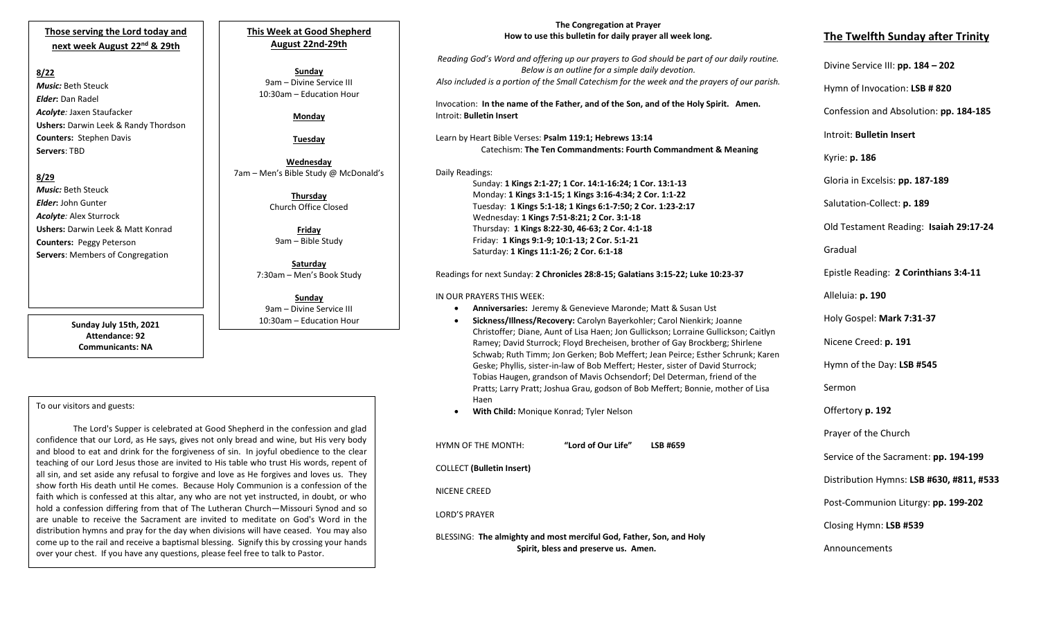## **Those serving the Lord today and next week August 22nd & 29th**

#### **8/22**

*Music:* Beth Steuck *Elder***:** Dan Radel *Acolyte:* Jaxen Staufacker **Ushers:** Darwin Leek & Randy Thordson **Counters:** Stephen Davis **Servers**: TBD

### **8/29**

*Music:* Beth Steuck *Elder***:** John Gunter *Acolyte:* Alex Sturrock **Ushers:** Darwin Leek & Matt Konrad **Counters:** Peggy Peterson **Servers**: Members of Congregation

> **Sunday July 15th, 2021 Attendance: 92 Communicants: NA**

## **This Week at Good Shepherd August 22nd-29th**

**Sunday** 9am – Divine Service III 10:30am – Education Hour

## **Monday**

**Tuesday**

**Wednesday** 7am – Men's Bible Study @ McDonald's

> **Thursday** Church Office Closed

**Friday** 9am – Bible Study

**Saturday** 7:30am – Men's Book Study

**Sunday**  9am – Divine Service III 10:30am – Education Hour

### To our visitors and guests:

faith which is confessed at this altar, any who are not yet instructed, in doubt, or who The Lord's Supper is celebrated at Good Shepherd in the confession and glad confidence that our Lord, as He says, gives not only bread and wine, but His very body and blood to eat and drink for the forgiveness of sin. In joyful obedience to the clear teaching of our Lord Jesus those are invited to His table who trust His words, repent of all sin, and set aside any refusal to forgive and love as He forgives and loves us. They show forth His death until He comes. Because Holy Communion is a confession of the hold a confession differing from that of The Lutheran Church—Missouri Synod and so are unable to receive the Sacrament are invited to meditate on God's Word in the distribution hymns and pray for the day when divisions will have ceased. You may also come up to the rail and receive a baptismal blessing. Signify this by crossing your hands over your chest. If you have any questions, please feel free to talk to Pastor.

## **The Congregation at Prayer How to use this bulletin for daily prayer all week long.**

*Reading God's Word and offering up our prayers to God should be part of our daily routine. Below is an outline for a simple daily devotion. Also included is a portion of the Small Catechism for the week and the prayers of our parish.*

Invocation: **In the name of the Father, and of the Son, and of the Holy Spirit. Amen.** Introit: **Bulletin Insert**

Learn by Heart Bible Verses: **Psalm 119:1; Hebrews 13:14** Catechism: **The Ten Commandments: Fourth Commandment & Meaning**

### Daily Readings:

Sunday: **1 Kings 2:1-27; 1 Cor. 14:1-16:24; 1 Cor. 13:1-13** Monday: **1 Kings 3:1-15; 1 Kings 3:16-4:34; 2 Cor. 1:1-22** Tuesday: **1 Kings 5:1-18; 1 Kings 6:1-7:50; 2 Cor. 1:23-2:17** Wednesday: **1 Kings 7:51-8:21; 2 Cor. 3:1-18** Thursday: **1 Kings 8:22-30, 46-63; 2 Cor. 4:1-18** Friday: **1 Kings 9:1-9; 10:1-13; 2 Cor. 5:1-21** Saturday: **1 Kings 11:1-26; 2 Cor. 6:1-18**

#### Readings for next Sunday: **2 Chronicles 28:8-15; Galatians 3:15-22; Luke 10:23-37**

#### IN OUR PRAYERS THIS WEEK:

- **Anniversaries:** Jeremy & Genevieve Maronde; Matt & Susan Ust
- **Sickness/Illness/Recovery:** Carolyn Bayerkohler; Carol Nienkirk; Joanne Christoffer; Diane, Aunt of Lisa Haen; Jon Gullickson; Lorraine Gullickson; Caitlyn Ramey; David Sturrock; Floyd Brecheisen, brother of Gay Brockberg; Shirlene Schwab; Ruth Timm; Jon Gerken; Bob Meffert; Jean Peirce; Esther Schrunk; Karen Geske; Phyllis, sister-in-law of Bob Meffert; Hester, sister of David Sturrock; Tobias Haugen, grandson of Mavis Ochsendorf; Del Determan, friend of the Pratts; Larry Pratt; Joshua Grau, godson of Bob Meffert; Bonnie, mother of Lisa Haen
- **With Child:** Monique Konrad; Tyler Nelson

HYMN OF THE MONTH: **"Lord of Our Life" LSB #659** COLLECT **(Bulletin Insert)** NICENE CREED LORD'S PRAYER BLESSING: **The almighty and most merciful God, Father, Son, and Holy Spirit, bless and preserve us. Amen.**

# **The Twelfth Sunday after Trinity**

Divine Service III: **pp. 184 – 202**

Hymn of Invocation: **LSB # 820**

Confession and Absolution: **pp. 184-185**

Introit: **Bulletin Insert** 

Kyrie: **p. 186**

Gloria in Excelsis: **pp. 187-189**

Salutation-Collect: **p. 189**

Old Testament Reading: **Isaiah 29:17-24**

Gradual

Epistle Reading: **2 Corinthians 3:4-11**

Alleluia: **p. 190**

Holy Gospel: **Mark 7:31-37**

Nicene Creed: **p. 191**

Hymn of the Day: **LSB #545**

Sermon

Offertory **p. 192**

Prayer of the Church

Service of the Sacrament: **pp. 194-199**

Distribution Hymns: **LSB #630, #811, #533**

Post-Communion Liturgy: **pp. 199-202** 

Closing Hymn: **LSB #539**

Announcements